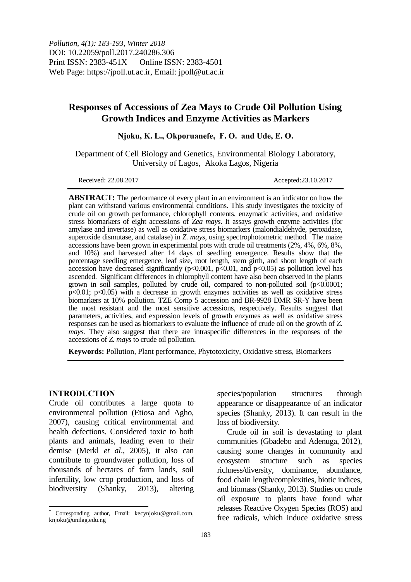# **Responses of Accessions of Zea Mays to Crude Oil Pollution Using Growth Indices and Enzyme Activities as Markers**

**Njoku, K. L., Okporuanefe, F. O. and Ude, E. O.**

Department of Cell Biology and Genetics, Environmental Biology Laboratory, University of Lagos, Akoka Lagos, Nigeria

Received: 22.08.2017 **Accepted:23.10.2017** 

**ABSTRACT:** The performance of every plant in an environment is an indicator on how the plant can withstand various environmental conditions. This study investigates the toxicity of crude oil on growth performance, chlorophyll contents, enzymatic activities, and oxidative stress biomarkers of eight accessions of *Zea mays*. It assays growth enzyme activities (for amylase and invertase) as well as oxidative stress biomarkers (malondialdehyde, peroxidase, superoxide dismutase, and catalase) in *Z. mays*, using spectrophotometric method*.* The maize accessions have been grown in experimental pots with crude oil treatments (2%, 4%, 6%, 8%, and 10%) and harvested after 14 days of seedling emergence. Results show that the percentage seedling emergence, leaf size, root length, stem girth, and shoot length of each accession have decreased significantly ( $p<0.001$ ,  $p<0.01$ , and  $p<0.05$ ) as pollution level has ascended. Significant differences in chlorophyll content have also been observed in the plants grown in soil samples, polluted by crude oil, compared to non-polluted soil  $(p<0.0001;$  $p<0.01$ ;  $p<0.05$ ) with a decrease in growth enzymes activities as well as oxidative stress biomarkers at 10% pollution. TZE Comp 5 accession and BR-9928 DMR SR-Y have been the most resistant and the most sensitive accessions, respectively. Results suggest that parameters, activities, and expression levels of growth enzymes as well as oxidative stress responses can be used as biomarkers to evaluate the influence of crude oil on the growth of *Z. mays.* They also suggest that there are intraspecific differences in the responses of the accessions of *Z. mays* to crude oil pollution.

**Keywords:** Pollution, Plant performance, Phytotoxicity, Oxidative stress, Biomarkers

#### **INTRODUCTION**

 $\overline{\phantom{a}}$ 

Crude oil contributes a large quota to environmental pollution (Etiosa and Agho, 2007), causing critical environmental and health defections. Considered toxic to both plants and animals, leading even to their demise (Merkl *et al*., 2005), it also can contribute to groundwater pollution, loss of thousands of hectares of farm lands, soil infertility, low crop production, and loss of biodiversity (Shanky, 2013), altering species/population structures through appearance or disappearance of an indicator species (Shanky, 2013). It can result in the loss of biodiversity.

Crude oil in soil is devastating to plant communities (Gbadebo and Adenuga, 2012), causing some changes in community and ecosystem structure such as species richness/diversity, dominance, abundance, food chain length/complexities, biotic indices, and biomass (Shanky, 2013). Studies on crude oil exposure to plants have found what releases Reactive Oxygen Species (ROS) and free radicals, which induce oxidative stress

Corresponding author, Email: kecynjoku@gmail.com, knjoku@unilag.edu.ng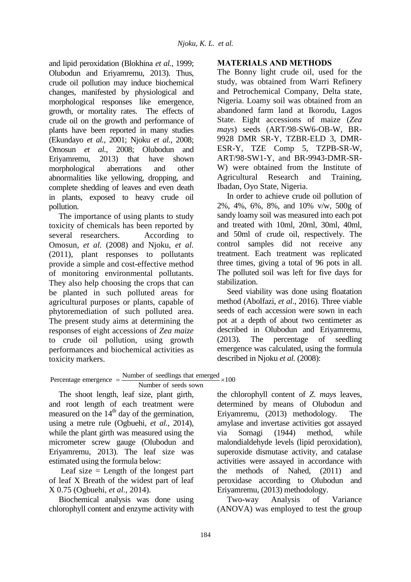and lipid peroxidation (Blokhina *et al.,* 1999; Olubodun and Eriyamremu, 2013). Thus, crude oil pollution may induce biochemical changes, manifested by physiological and morphological responses like emergence, growth, or mortality rates. The effects of crude oil on the growth and performance of plants have been reported in many studies (Ekundayo *et al.,* 2001; Njoku *et al.,* 2008; Omosun *et al.,* 2008; Olubodun and Eriyamremu, 2013) that have shown morphological aberrations and other abnormalities like yellowing, dropping, and complete shedding of leaves and even death in plants, exposed to heavy crude oil pollution.

The importance of using plants to study toxicity of chemicals has been reported by several researchers. According to Omosun, *et al.* (2008) and Njoku, *et al.* (2011), plant responses to pollutants provide a simple and cost-effective method of monitoring environmental pollutants. They also help choosing the crops that can be planted in such polluted areas for agricultural purposes or plants, capable of phytoremediation of such polluted area. The present study aims at determining the responses of eight accessions of *Zea maize* to crude oil pollution, using growth performances and biochemical activities as toxicity markers.

## **MATERIALS AND METHODS**

The Bonny light crude oil, used for the study, was obtained from Warri Refinery and Petrochemical Company, Delta state, Nigeria. Loamy soil was obtained from an abandoned farm land at Ikorodu, Lagos State. Eight accessions of maize (*Zea mays*) seeds (ART/98-SW6-OB-W, BR-9928 DMR SR-Y, TZBR-ELD 3, DMR-ESR-Y, TZE Comp 5, TZPB-SR-W, ART/98-SW1-Y, and BR-9943-DMR-SR-W) were obtained from the Institute of Agricultural Research and Training, Ibadan, Oyo State, Nigeria.

In order to achieve crude oil pollution of 2%, 4%, 6%, 8%, and 10% v/w, 500g of sandy loamy soil was measured into each pot and treated with 10ml, 20ml, 30ml, 40ml, and 50ml of crude oil, respectively. The control samples did not receive any treatment. Each treatment was replicated three times, giving a total of 96 pots in all. The polluted soil was left for five days for stabilization.

Seed viability was done using floatation method (Abolfazi, *et al*., 2016). Three viable seeds of each accession were sown in each pot at a depth of about two centimeter as described in Olubodun and Eriyamremu, (2013). The percentage of seedling emergence was calculated, using the formula described in Njoku *et al.* (2008):

The shoot length, leaf size, plant girth, and root length of each treatment were measured on the  $14<sup>th</sup>$  day of the germination. using a metre rule (Ogbuehi, *et al.,* 2014), while the plant girth was measured using the micrometer screw gauge (Olubodun and Eriyamremu, 2013). The leaf size was estimated using the formula below:

Leaf size  $=$  Length of the longest part of leaf X Breath of the widest part of leaf X 0.75 (Ogbuehi, *et al.,* 2014).

Biochemical analysis was done using chlorophyll content and enzyme activity with the chlorophyll content of *Z. mays* leaves, determined by means of Olubodun and Eriyamremu, (2013) methodology. The amylase and invertase activities got assayed via Somagi (1944) method, while malondialdehyde levels (lipid peroxidation), superoxide dismutase activity, and catalase activities were assayed in accordance with the methods of Nahed, (2011) and peroxidase according to Olubodun and Eriyamremu, (2013) methodology.

Two-way Analysis of Variance (ANOVA) was employed to test the group

toxicity markers.<br>Percentage emergence  $=$   $\frac{\text{Number of seedlings that emerged}}{\text{Number of seedlings that}} \times 100$ er of seedlings that em<br>Number of seeds sown  $=\frac{\text{Number of seedlings that emerged}}{\text{Number of seeds sow}} \times 100$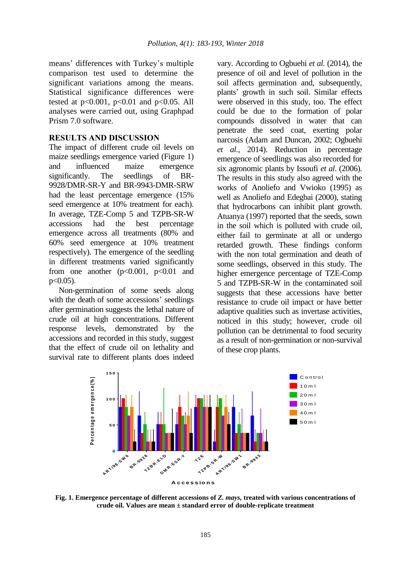means' differences with Turkey's multiple comparison test used to determine the significant variations among the means. Statistical significance differences were tested at  $p<0.001$ ,  $p<0.01$  and  $p<0.05$ . All analyses were carried out, using Graphpad Prism 7.0 software.

#### **RESULTS AND DISCUSSION**

The impact of different crude oil levels on maize seedlings emergence varied (Figure 1) and influenced maize emergence significantly. The seedlings of BR-9928/DMR-SR-Y and BR-9943-DMR-SRW had the least percentage emergence (15% seed emergence at 10% treatment for each). In average, TZE-Comp 5 and TZPB-SR-W accessions had the best percentage emergence across all treatments (80% and 60% seed emergence at 10% treatment respectively). The emergence of the seedling in different treatments varied significantly from one another  $(p<0.001, p<0.01$  and  $p<0.05$ ).

Non-germination of some seeds along with the death of some accessions' seedlings after germination suggests the lethal nature of crude oil at high concentrations. Different response levels, demonstrated by the accessions and recorded in this study, suggest that the effect of crude oil on lethality and survival rate to different plants does indeed

vary. According to Ogbuehi *et al.* (2014), the presence of oil and level of pollution in the soil affects germination and, subsequently, plants' growth in such soil. Similar effects were observed in this study, too. The effect could be due to the formation of polar compounds dissolved in water that can penetrate the seed coat, exerting polar narcosis (Adam and Duncan, 2002; Ogbuehi *et al.*, 2014). Reduction in percentage emergence of seedlings was also recorded for six agronomic plants by Issoufi *et al*. (2006). The results in this study also agreed with the works of Anoliefo and Vwioko (1995) as well as Anoliefo and Edegbai (2000), stating that hydrocarbons can inhibit plant growth. Atuanya (1997) reported that the seeds, sown in the soil which is polluted with crude oil, either fail to germinate at all or undergo retarded growth. These findings conform with the non total germination and death of some seedlings, observed in this study. The higher emergence percentage of TZE-Comp 5 and TZPB-SR-W in the contaminated soil suggests that these accessions have better resistance to crude oil impact or have better adaptive qualities such as invertase activities, noticed in this study; however, crude oil pollution can be detrimental to food security as a result of non-germination or non-survival of these crop plants.



**Fig. 1. Emergence percentage of different accessions of** *Z. mays,* **treated with various concentrations of crude oil. Values are mean ± standard error of double-replicate treatment**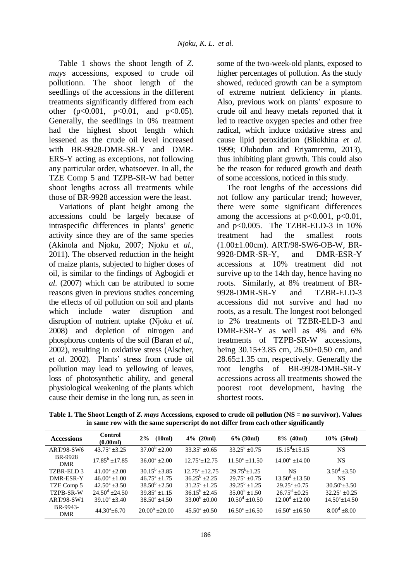Table 1 shows the shoot length of *Z. mays* accessions, exposed to crude oil pollutionn. The shoot length of the seedlings of the accessions in the different treatments significantly differed from each other  $(p<0.001, p<0.01, and p<0.05)$ . Generally, the seedlings in 0% treatment had the highest shoot length which lessened as the crude oil level increased with BR-9928-DMR-SR-Y and DMR-ERS-Y acting as exceptions, not following any particular order, whatsoever. In all, the TZE Comp 5 and TZPB-SR-W had better shoot lengths across all treatments while those of BR-9928 accession were the least.

Variations of plant height among the accessions could be largely because of intraspecific differences in plants' genetic activity since they are of the same species (Akinola and Njoku, 2007; Njoku *et al.,* 2011). The observed reduction in the height of maize plants, subjected to higher doses of oil, is similar to the findings of Agbogidi *et al*. (2007) which can be attributed to some reasons given in previous studies concerning the effects of oil pollution on soil and plants which include water disruption and disruption of nutrient uptake (Njoku *et al.* 2008) and depletion of nitrogen and phosphorus contents of the soil (Baran *et al.,* 2002), resulting in oxidative stress (Alscher, *et al.* 2002). Plants' stress from crude oil pollution may lead to yellowing of leaves, loss of photosynthetic ability, and general physiological weakening of the plants which cause their demise in the long run, as seen in

some of the two-week-old plants, exposed to higher percentages of pollution. As the study showed, reduced growth can be a symptom of extreme nutrient deficiency in plants. Also, previous work on plants' exposure to crude oil and heavy metals reported that it led to reactive oxygen species and other free radical, which induce oxidative stress and cause lipid peroxidation (Bliokhina *et al.* 1999; Olubodun and Eriyamremu, 2013), thus inhibiting plant growth. This could also be the reason for reduced growth and death of some accessions, noticed in this study.

The root lengths of the accessions did not follow any particular trend; however, there were some significant differences among the accessions at  $p<0.001$ ,  $p<0.01$ , and p<0.005. The TZBR-ELD-3 in 10% treatment had the smallest roots (1.00±1.00cm). ART/98-SW6-OB-W, BR-9928-DMR-SR-Y, and DMR-ESR-Y accessions at 10% treatment did not survive up to the 14th day, hence having no roots. Similarly, at 8% treatment of BR-9928-DMR-SR-Y and TZBR-ELD-3 accessions did not survive and had no roots, as a result. The longest root belonged to 2% treatments of TZBR-ELD-3 and DMR-ESR-Y as well as 4% and 6% treatments of TZPB-SR-W accessions, being 30.15±3.85 cm, 26.50±0.50 cm, and 28.65±1.35 cm, respectively. Generally the root lengths of BR-9928-DMR-SR-Y accessions across all treatments showed the poorest root development, having the shortest roots.

| Table 1. The Shoot Length of Z. mays Accessions, exposed to crude oil pollution (NS = no survivor). Values |
|------------------------------------------------------------------------------------------------------------|
| in same row with the same superscript do not differ from each other significantly                          |

| <b>Accessions</b>            | <b>Control</b><br>(0.00ml)     | (10ml)<br>2%                   | $4\%$ (20ml)                             | $6\%$ (30ml)                          | $8\%$ (40ml)                          | $10\%$ (50ml)          |
|------------------------------|--------------------------------|--------------------------------|------------------------------------------|---------------------------------------|---------------------------------------|------------------------|
| ART/98-SW6                   | $43.75^{\rm a} + 3.25$         | $37.00^b + 2.00$               | $33.35^{\circ} + 0.65$                   | $33.25^b \pm 0.75$                    | $15.15^{\text{d}} \pm 15.15$          | NS.                    |
| <b>BR-9928</b><br><b>DMR</b> | $17.85^b \pm 17.85$            | $36.00^a + 2.00$               | $12.75^{\circ}+12.75$                    | $11.50^{\circ}$ + 11.50               | $14.00^{\circ}$ ±14.00                | <b>NS</b>              |
| TZBR-ELD3                    | $41.00^a + 2.00$               | $30.15^b \pm 3.85$             | $12.75^{\circ}$ +12.75                   | $29.75^b \pm 1.25$                    | <b>NS</b>                             | $3.50^{\rm d}$ ±3.50   |
| DMR-ESR-Y                    | $46.00^a + 1.00$               | $46.75^{\rm a} + 1.75^{\rm c}$ | $36.25^b + 2.25$                         | $29.75^{\circ}$ +0.75                 | $13.50^{\text{d}} + 13.50^{\text{c}}$ | NS.                    |
| TZE Comp 5                   | $42.50^{\circ} + 3.50^{\circ}$ | $38.50^{b} + 2.50$             | $31.25^{\circ} + 1.25$                   | $39.25^b + 1.25$                      | $29.25^{\circ}$ +0.75                 | $30.50^{\circ}+3.50$   |
| TZPB-SR-W                    | $24.50^{\rm d}$ +24.50         | $39.85^a + 1.15$               | $36.15^b \pm 2.45$                       | $35.00^b \pm 1.50$                    | $26.75^{\text{d}} + 0.25$             | $32.25^{\circ} + 0.25$ |
| <b>ART/98-SW1</b>            | $39.10^a + 3.40$               | $38.50^{\circ}$ +4.50          | $33.00^b + 0.00$                         | $10.50^{\text{d}} + 10.50^{\text{c}}$ | $12.00^{\text{d}} + 12.00$            | $14.50^{\circ}+14.50$  |
| BR-9943-<br><b>DMR</b>       | $44.30^{\circ} + 6.70$         | $20.00^{\rm b}$ +20.00         | $45.50^{\mathrm{a}} + 0.50^{\mathrm{c}}$ | $16.50^{\circ} + 16.50$               | $16.50^{\circ}$ +16.50                | $8.00^{\rm d}$ +8.00   |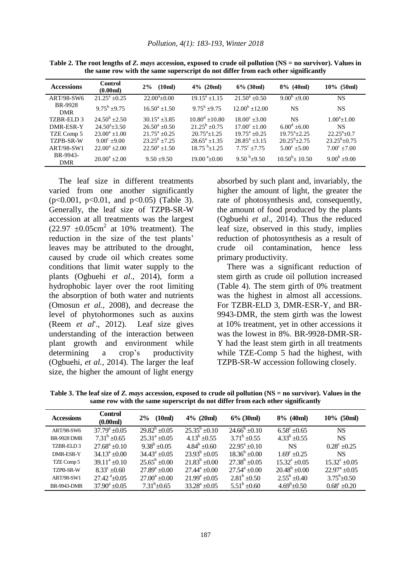| <b>Accessions</b>      | <b>Control</b><br>(0.00ml) | (10ml)<br>$2\%$      | $4\%$ (20ml)                            | $6\%$ (30ml)                | $8\%$ (40ml)                | $10\%$ (50ml)              |
|------------------------|----------------------------|----------------------|-----------------------------------------|-----------------------------|-----------------------------|----------------------------|
| ART/98-SW6             | $21.25^a + 0.25$           | $22.00^{\circ}+0.00$ | $19.15^a + 1.15$                        | $21.50^a + 0.50$            | $9.00^{\rm b}$ ±9.00        | <b>NS</b>                  |
| BR-9928<br><b>DMR</b>  | $9.75^b + 9.75$            | $16.50^a + 1.50$     | $9.75^b + 9.75$                         | $12.00^{\rm b} + 12.00$     | <b>NS</b>                   | <b>NS</b>                  |
| TZBR-ELD 3             | $24.50^b + 2.50$           | $30.15^a + 3.85$     | $10.80^{\text{d}} + 10.80^{\text{c}}$   | $18.00^{\circ} + 3.00$      | <b>NS</b>                   | $1.00^{\circ}$ + 1.00      |
| DMR-ESR-Y              | $24.50^{a} + 3.50$         | $26.50^a + 0.50$     | $21.25^b + 0.75$                        | $17.00^{\circ}$ +1.00       | $6.00^{\rm d}$ ±6.00        | <b>NS</b>                  |
| TZE Comp 5             | $23.00^a + 1.00$           | $21.75^a + 0.25$     | $20.75^{\text{a}} + 1.25$               | $19.75^{\mathrm{a}} + 0.25$ | $19.75^{\mathrm{a}} + 2.25$ | $22.25^{\mathrm{a}} + 0.7$ |
| TZPB-SR-W              | $9.00^{\circ}$ +9.00       | $23.25^b + 7.25$     | $28.65^a + 1.35$                        | $28.85^a + 3.15$            | $20.25^{\rm b} + 2.75$      | $23.25^b + 0.75$           |
| <b>ART/98-SW1</b>      | $22.00^a + 2.00$           | $22.50^a + 1.50$     | $18.75^{b}+1.25$                        | $7.75^{\circ}$ +7.75        | $5.00^{\circ}$ +5.00        | $7.00^{\circ}$ +7.00       |
| BR-9943-<br><b>DMR</b> | $20.00^a + 2.00$           | $9.50 \pm 9.50$      | $19.00^{\text{ a}}\pm 0.00^{\text{ } }$ | $9.50^{b} + 9.50$           | $10.50^{b}$ + 10.50         | $9.00^b + 9.00$            |

**Table 2. The root lengths of** *Z. mays* **accession, exposed to crude oil pollution (NS = no survivor). Values in the same row with the same superscript do not differ from each other significantly**

The leaf size in different treatments varied from one another significantly (p<0.001, p<0.01, and p<0.05) (Table 3). Generally, the leaf size of TZPB-SR-W accession at all treatments was the largest  $(22.97 \pm 0.05 \text{cm}^2 \text{ at } 10\% \text{ treatment}).$  The reduction in the size of the test plants' leaves may be attributed to the drought, caused by crude oil which creates some conditions that limit water supply to the plants (Ogbuehi *et al*., 2014), form a hydrophobic layer over the root limiting the absorption of both water and nutrients (Omosun *et al.,* 2008), and decrease the level of phytohormones such as auxins (Reem *et al*'., 2012). Leaf size gives understanding of the interaction between plant growth and environment while determining a crop's productivity (Ogbuehi, *et al.,* 2014). The larger the leaf size, the higher the amount of light energy

absorbed by such plant and, invariably, the higher the amount of light, the greater the rate of photosynthesis and, consequently, the amount of food produced by the plants (Ogbuehi *et al*., 2014). Thus the reduced leaf size, observed in this study, implies reduction of photosynthesis as a result of crude oil contamination, hence less primary productivity.

There was a significant reduction of stem girth as crude oil pollution increased (Table 4). The stem girth of 0% treatment was the highest in almost all accessions. For TZBR-ELD 3, DMR-ESR-Y, and BR-9943-DMR, the stem girth was the lowest at 10% treatment, yet in other accessions it was the lowest in 8%. BR-9928-DMR-SR-Y had the least stem girth in all treatments while TZE-Comp 5 had the highest, with TZPB-SR-W accession following closely.

**Table 3. The leaf size of** *Z. mays* **accession, exposed to crude oil pollution (NS = no survivor). Values in the same row with the same superscript do not differ from each other significantly**

| <b>Accessions</b>  | <b>Control</b><br>(0.00ml) | (10ml)<br>$2\%$       | $4\%$ (20ml)           | $6\%$ (30ml)                | $8\%$ (40ml)          | $10\%$ (50ml)         |
|--------------------|----------------------------|-----------------------|------------------------|-----------------------------|-----------------------|-----------------------|
| <b>ART/98-SW6</b>  | $37.79^{\rm a}$ ±0.05      | $29.82^b \pm 0.05$    | $25.35^b + 0.10$       | $24.66^{\circ}$ +0.10       | $6.58^{\circ}$ +0.65  | <b>NS</b>             |
| <b>BR-9928 DMR</b> | $7.31^b + 0.65$            | $25.31^{\circ}$ +0.05 | $4.13^b \pm 0.55$      | $3.71^b \pm 0.55$           | $4.33^b$ ±0.55        | <b>NS</b>             |
| TZBR-ELD3          | $27.68^a \pm 0.10$         | $9.38^b + 0.05$       | $4.84^b + 0.60$        | $22.95^{\mathrm{a}} + 0.10$ | <b>NS</b>             | $0.28^{\circ}$ +0.25  |
| DMR-ESR-Y          | $34.13^a \pm 0.00$         | $34.43^a + 0.05$      | $23.93^b + 0.05$       | $18.36^b + 0.00$            | $1.69^{\circ}$ +0.25  | <b>NS</b>             |
| TZE Comp 5         | $39.11^a + 0.10$           | $25.65^{\rm b}$ ±0.00 | $21.83^b \pm 0.00$     | $27.38^b \pm 0.05$          | $15.32^{\circ}$ ±0.05 | $15.32^{\circ}$ +0.05 |
| TZPB-SR-W          | $8.33^{\circ}$ +0.60       | $27.89^a \pm 0.00$    | $27.44^{\circ} + 0.00$ | $27.54^{\mathrm{a}}$ +0.00  | $20.48^b \pm 0.00$    | $22.97^{\circ}$ +0.05 |
| <b>ART/98-SW1</b>  | $27.42^{\text{a}} + 0.05$  | $27.00^a \pm 0.00$    | $21.99^a + 0.05$       | $2.81^b + 0.50$             | $2.55^b + 0.40$       | $3.75^{\rm b} + 0.50$ |
| <b>BR-9943-DMR</b> | $37.90^a \pm 0.05$         | $7.31^b + 0.65$       | $33.28^a \pm 0.05$     | $5.51^b + 0.60$             | $4.69^{\rm b} + 0.50$ | $0.68^{\circ}$ ±0.20  |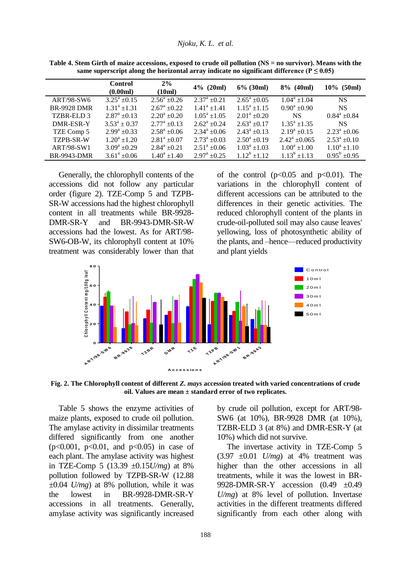|                    | <b>Control</b><br>(0.00ml) | $2\%$<br>(10ml)      | $4\%$ (20ml)         | $6\%$ (30ml)      | $8\%$ (40ml)               | $10\%$ (50ml)        |
|--------------------|----------------------------|----------------------|----------------------|-------------------|----------------------------|----------------------|
| ART/98-SW6         | $3.25^{\rm a}$ ±0.15       | $2.56^{\circ}$ ±0.26 | $2.37^{\rm a}$ +0.21 | $2.65^a + 0.05$   | $1.04^a \pm 1.04$          | <b>NS</b>            |
| <b>BR-9928 DMR</b> | $1.31^a \pm 1.31$          | $2.67^{\rm a}$ ±0.22 | $1.41^a + 1.41$      | $1.15^a \pm 1.15$ | $0.90^a \pm 0.90$          | <b>NS</b>            |
| TZBR-ELD 3         | $2.87^{\rm a}$ ±0.13       | $2.20^a + 0.20$      | $1.05^a \pm 1.05$    | $2.01^a \pm 0.20$ | NS.                        | $0.84^a \pm 0.84$    |
| DMR-ESR-Y          | $3.53^a \pm 0.37$          | $2.77^{\rm a}$ ±0.13 | $2.62^a \pm 0.24$    | $2.63^a + 0.17$   | $1.35^a \pm 1.35$          | <b>NS</b>            |
| TZE Comp 5         | $2.99^a \pm 0.33$          | $2.58^a \pm 0.06$    | $2.34^a \pm 0.06$    | $2.43^a \pm 0.13$ | $2.19^a + 0.15$            | $2.23^a \pm 0.06$    |
| <b>TZPB-SR-W</b>   | $1.20^a \pm 1.20$          | $2.81^a \pm 0.07$    | $2.73^a \pm 0.03$    | $2.50^a \pm 0.19$ | $2.42^{\mathrm{a}}$ +0.065 | $2.53^{\rm a}$ +0.10 |
| <b>ART/98-SW1</b>  | $3.09^a \pm 0.29$          | $2.84^a \pm 0.21$    | $2.51^a \pm 0.06$    | $1.03^a \pm 1.03$ | $1.00^a \pm 1.00$          | $1.10^a \pm 1.10$    |
| <b>BR-9943-DMR</b> | $3.61^a \pm 0.06$          | $1.40^a + 1.40$      | $2.97^{\rm a}$ ±0.25 | $1.12^b + 1.12$   | $1.13^b$ ±1.13             | $0.95^{\rm b}$ +0.95 |

**Table 4. Stem Girth of maize accessions, exposed to crude oil pollution (NS = no survivor). Means with the**  same superscript along the horizontal array indicate no significant difference ( $P \le 0.05$ )

Generally, the chlorophyll contents of the accessions did not follow any particular order (figure 2). TZE-Comp 5 and TZPB-SR-W accessions had the highest chlorophyll content in all treatments while BR-9928- DMR-SR-Y and BR-9943-DMR-SR-W accessions had the lowest. As for ART/98- SW6-OB-W, its chlorophyll content at 10% treatment was considerably lower than that of the control  $(p<0.05$  and  $p<0.01$ ). The variations in the chlorophyll content of different accessions can be attributed to the differences in their genetic activities. The reduced chlorophyll content of the plants in crude-oil-polluted soil may also cause leaves' yellowing, loss of photosynthetic ability of the plants, and –hence—reduced productivity and plant yields



**Fig. 2. The Chlorophyll content of different** *Z. mays* **accession treated with varied concentrations of crude oil. Values are mean ± standard error of two replicates.**

Table 5 shows the enzyme activities of maize plants, exposed to crude oil pollution. The amylase activity in dissimilar treatments differed significantly from one another  $(p<0.001, p<0.01,$  and  $p<0.05$ ) in case of each plant. The amylase activity was highest in TZE-Comp 5 (13.39 ±0.15*U/mg*) at 8% pollution followed by TZPB-SR-W (12.88  $\pm 0.04$  *U/mg*) at 8% pollution, while it was the lowest in BR-9928-DMR-SR-Y accessions in all treatments. Generally, amylase activity was significantly increased

by crude oil pollution, except for ART/98- SW6 (at 10%)*,* BR-9928 DMR (at 10%)*,*  TZBR-ELD 3 (at 8%) and DMR-ESR-Y (at 10%) which did not survive.

The invertase activity in TZE-Comp 5  $(3.97 \pm 0.01$  *U/mg*) at 4% treatment was higher than the other accessions in all treatments, while it was the lowest in BR-9928-DMR-SR-Y accession (0.49 ±0.49 *U/mg*) at 8% level of pollution. Invertase activities in the different treatments differed significantly from each other along with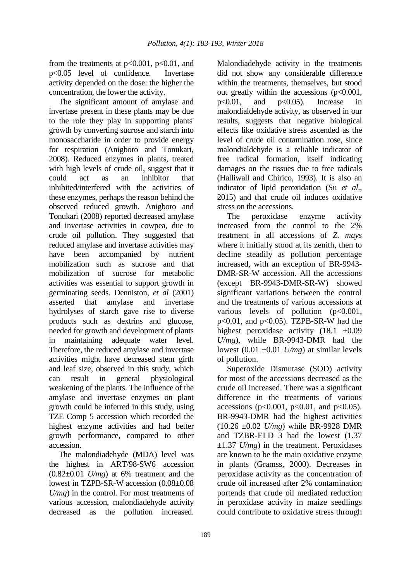from the treatments at  $p<0.001$ ,  $p<0.01$ , and p<0.05 level of confidence. Invertase activity depended on the dose: the higher the concentration, the lower the activity.

The significant amount of amylase and invertase present in these plants may be due to the role they play in supporting plants' growth by converting sucrose and starch into monosaccharide in order to provide energy for respiration (Anigboro and Tonukari, 2008). Reduced enzymes in plants, treated with high levels of crude oil, suggest that it could act as an inhibitor that inhibited/interfered with the activities of these enzymes, perhaps the reason behind the observed reduced growth. Anigboro and Tonukari (2008) reported decreased amylase and invertase activities in cowpea, due to crude oil pollution. They suggested that reduced amylase and invertase activities may have been accompanied by nutrient mobilization such as sucrose and that mobilization of sucrose for metabolic activities was essential to support growth in germinating seeds. Denniston, *et al* (2001) asserted that amylase and invertase hydrolyses of starch gave rise to diverse products such as dextrins and glucose, needed for growth and development of plants in maintaining adequate water level. Therefore, the reduced amylase and invertase activities might have decreased stem girth and leaf size, observed in this study, which can result in general physiological weakening of the plants. The influence of the amylase and invertase enzymes on plant growth could be inferred in this study, using TZE Comp 5 accession which recorded the highest enzyme activities and had better growth performance, compared to other accession.

The malondiadehyde (MDA) level was the highest in ART/98-SW6 accession  $(0.82\pm0.01)$  *U/mg*) at 6% treatment and the lowest in TZPB-SR-W accession (0.08±0.08 *U/mg*) in the control. For most treatments of various accession, malondiadehyde activity decreased as the pollution increased.

Malondiadehyde activity in the treatments did not show any considerable difference within the treatments, themselves, but stood out greatly within the accessions  $(p<0.001$ , p<0.01, and p<0.05). Increase in malondialdehyde activity, as observed in our results, suggests that negative biological effects like oxidative stress ascended as the level of crude oil contamination rose, since malondialdehyde is a reliable indicator of free radical formation, itself indicating damages on the tissues due to free radicals (Halliwall and Chirico, 1993). It is also an indicator of lipid peroxidation (Su *et al*., 2015) and that crude oil induces oxidative stress on the accessions.

The peroxidase enzyme activity increased from the control to the 2% treatment in all accessions of *Z. mays* where it initially stood at its zenith, then to decline steadily as pollution percentage increased, with an exception of BR-9943- DMR-SR-W accession. All the accessions (except BR-9943-DMR-SR-W) showed significant variations between the control and the treatments of various accessions at various levels of pollution (p<0.001, p<0.01, and p<0.05). TZPB-SR-W had the highest peroxidase activity  $(18.1 \pm 0.09)$ *U/mg*), while BR-9943-DMR had the lowest  $(0.01 \pm 0.01 \frac{U}{mg})$  at similar levels of pollution.

Superoxide Dismutase (SOD) activity for most of the accessions decreased as the crude oil increased. There was a significant difference in the treatments of various accessions ( $p<0.001$ ,  $p<0.01$ , and  $p<0.05$ ). BR-9943-DMR had the highest activities (10.26 ±0.02 *U/mg*) while BR-9928 DMR and TZBR-ELD 3 had the lowest (1.37  $\pm 1.37$  *U/mg*) in the treatment. Peroxidases are known to be the main oxidative enzyme in plants (Gramss, 2000). Decreases in peroxidase activity as the concentration of crude oil increased after 2% contamination portends that crude oil mediated reduction in peroxidase activity in maize seedlings could contribute to oxidative stress through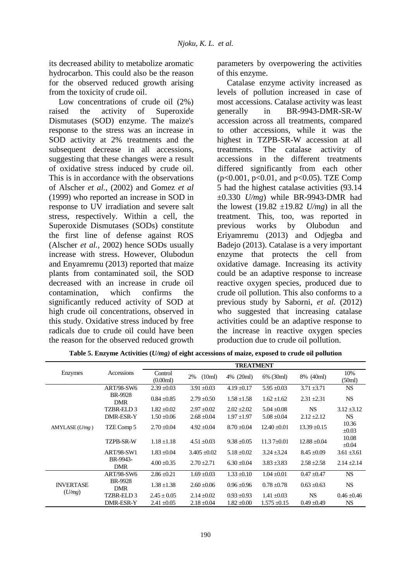its decreased ability to metabolize aromatic hydrocarbon. This could also be the reason for the observed reduced growth arising from the toxicity of crude oil.

Low concentrations of crude oil  $(2\%)$ raised the activity of Superoxide Dismutases (SOD) enzyme. The maize's response to the stress was an increase in SOD activity at 2% treatments and the subsequent decrease in all accessions, suggesting that these changes were a result of oxidative stress induced by crude oil. This is in accordance with the observations of Alscher *et al.,* (2002) and Gomez *et al* (1999) who reported an increase in SOD in response to UV irradiation and severe salt stress, respectively. Within a cell, the Superoxide Dismutases (SODs) constitute the first line of defense against ROS (Alscher *et al.,* 2002) hence SODs usually increase with stress. However, Olubodun and Enyamremu (2013) reported that maize plants from contaminated soil, the SOD decreased with an increase in crude oil contamination, which confirms the significantly reduced activity of SOD at high crude oil concentrations, observed in this study. Oxidative stress induced by free radicals due to crude oil could have been the reason for the observed reduced growth

parameters by overpowering the activities of this enzyme.

Catalase enzyme activity increased as levels of pollution increased in case of most accessions. Catalase activity was least generally in BR-9943-DMR-SR-W accession across all treatments, compared to other accessions, while it was the highest in TZPB-SR-W accession at all treatments. The catalase activity of accessions in the different treatments differed significantly from each other (p<0.001, p<0.01, and p<0.05). TZE Comp 5 had the highest catalase activities (93.14 ±0.330 *U/mg*) while BR-9943-DMR had the lowest  $(19.82 \pm 19.82 \frac{U}{mg})$  in all the treatment. This, too, was reported in previous works by Olubodun and Eriyamremu (2013) and Odjegba and Badejo (2013). Catalase is a very important enzyme that protects the cell from oxidative damage. Increasing its activity could be an adaptive response to increase reactive oxygen species, produced due to crude oil pollution. This also conforms to a previous study by Saborni, *et al.* (2012) who suggested that increasing catalase activities could be an adaptive response to the increase in reactive oxygen species production due to crude oil pollution.

|                            |                        | <b>TREATMENT</b>    |                 |                 |                  |                  |                     |
|----------------------------|------------------------|---------------------|-----------------|-----------------|------------------|------------------|---------------------|
| Enzymes                    | Accessions             | Control<br>(0.00ml) | 2%<br>(10ml)    | 4% (20ml)       | 6% (30ml)        | 8% (40ml)        | 10%<br>(50ml)       |
|                            | <b>ART/98-SW6</b>      | $2.39 \pm 0.03$     | $3.91 \pm 0.03$ | $4.19 \pm 0.17$ | $5.95 \pm 0.03$  | $3.71 \pm 3.71$  | <b>NS</b>           |
|                            | BR-9928<br><b>DMR</b>  | $0.84 + 0.85$       | $2.79 \pm 0.50$ | $1.58 + 1.58$   | $1.62 + 1.62$    | $2.31 \pm 2.31$  | <b>NS</b>           |
|                            | TZBR-ELD 3             | $1.82 \pm 0.02$     | $2.97 \pm 0.02$ | $2.02 \pm 2.02$ | $5.04 \pm 0.08$  | <b>NS</b>        | $3.12 \pm 3.12$     |
|                            | DMR-ESR-Y              | $1.50 \pm 0.06$     | $2.68 \pm 0.04$ | $1.97 \pm 1.97$ | $5.08 \pm 0.04$  | $2.12 + 2.12$    | <b>NS</b>           |
| AMYLASE(U/mg)              | TZE Comp 5             | $2.70 \pm 0.04$     | $4.92 \pm 0.04$ | $8.70 \pm 0.04$ | $12.40 \pm 0.01$ | $13.39 \pm 0.15$ | 10.36<br>$\pm 0.03$ |
|                            | TZPB-SR-W              | $1.18 + 1.18$       | $4.51 \pm 0.03$ | $9.38 + 0.05$   | $11.37 + 0.01$   | $12.88 + 0.04$   | 10.08<br>$\pm 0.04$ |
|                            | <b>ART/98-SW1</b>      | $1.83 \pm 0.04$     | $3.405 + 0.02$  | $5.18 + 0.02$   | $3.24 \pm 3.24$  | $8.45 \pm 0.09$  | $3.61 \pm 3.61$     |
|                            | BR-9943-<br><b>DMR</b> | $4.00 \pm 0.35$     | $2.70 \pm 2.71$ | $6.30 \pm 0.04$ | $3.83 \pm 3.83$  | $2.58 \pm 2.58$  | $2.14 \pm 2.14$     |
|                            | <b>ART/98-SW6</b>      | $2.86 \pm 0.21$     | $1.69 \pm 0.03$ | $1.33 \pm 0.10$ | $1.04 \pm 0.01$  | $0.47 \pm 0.47$  | <b>NS</b>           |
| <b>INVERTASE</b><br>(U/mg) | BR-9928<br><b>DMR</b>  | $1.38 \pm 1.38$     | $2.60 \pm 0.06$ | $0.96 \pm 0.96$ | $0.78 \pm 0.78$  | $0.63 \pm 0.63$  | <b>NS</b>           |
|                            | TZBR-ELD 3             | $2.45 \pm 0.05$     | $2.14 \pm 0.02$ | $0.93 \pm 0.93$ | $1.41 \pm 0.03$  | <b>NS</b>        | $0.46 \pm 0.46$     |
|                            | DMR-ESR-Y              | $2.41 + 0.05$       | $2.18 \pm 0.04$ | $1.82 + 0.00$   | $1.575 \pm 0.15$ | $0.49 \pm 0.49$  | <b>NS</b>           |

**Table 5. Enzyme Activities (***U/mg)* **of eight accessions of maize, exposed to crude oil pollution**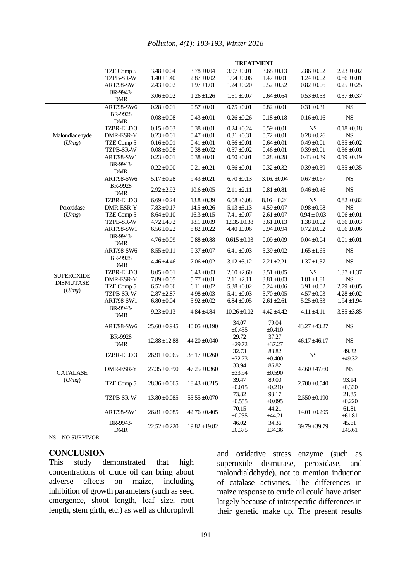|                   | <b>TREATMENT</b>                                                 |                                |                   |                        |                  |                   |                 |
|-------------------|------------------------------------------------------------------|--------------------------------|-------------------|------------------------|------------------|-------------------|-----------------|
|                   | TZE Comp 5                                                       | $3.48 \pm 0.04$                | $3.78 \pm 0.04$   | $3.97 \pm 0.01$        | $3.68 \pm 0.13$  | $2.86 \pm 0.02$   | $2.23 \pm 0.02$ |
|                   | <b>TZPB-SR-W</b>                                                 | $1.40 \pm 1.40$                | $2.87 \pm 0.02$   | $1.94 \pm 0.06$        | $1.47 \pm 0.01$  | $1.24 \pm 0.02$   | $0.86 \pm 0.01$ |
|                   | <b>ART/98-SW1</b>                                                | $2.43 \pm 0.02$                | $1.97 \pm 1.01$   | $1.24 \pm 0.20$        | $0.52 \pm 0.52$  | $0.82 \pm 0.06$   | $0.25 \pm 0.25$ |
|                   | BR-9943-                                                         |                                |                   |                        |                  |                   |                 |
|                   | <b>DMR</b>                                                       | $3.06 \pm 0.02$                | $1.26 \pm 1.26$   | $1.61 \pm 0.07$        | $0.64 \pm 0.64$  | $0.53 \pm 0.53$   | $0.37 \pm 0.37$ |
|                   | <b>ART/98-SW6</b>                                                | $0.28 \pm 0.01$                | $0.57 \pm 0.01$   | $0.75 \pm 0.01$        | $0.82 \pm 0.01$  | $0.31 \pm 0.31$   | ${\rm NS}$      |
|                   | BR-9928<br><b>DMR</b>                                            | $0.08\pm0.08$                  | $0.43 \pm 0.01$   | $0.26 \pm 0.26$        | $0.18 \pm 0.18$  | $0.16 \pm 0.16$   | <b>NS</b>       |
|                   | TZBR-ELD 3                                                       | $0.15 \pm 0.03$                | $0.38 \pm 0.01$   | $0.24 \pm 0.24$        | $0.59 \pm 0.01$  | <b>NS</b>         | $0.18 \pm 0.18$ |
| Malondiadehyde    | DMR-ESR-Y                                                        | $0.23 \pm 0.01$                | $0.47 \pm 0.01$   | $0.31\pm0.31$          | $0.72 \pm 0.01$  | $0.28 \pm 0.26$   | <b>NS</b>       |
| (U/mg)            | TZE Comp 5                                                       | $0.16 \pm 0.01$                | $0.41 \pm 0.01$   | $0.56 \pm 0.01$        | $0.64 \pm 0.01$  | $0.49 \pm 0.01$   | $0.35 \pm 0.02$ |
|                   | TZPB-SR-W                                                        | $0.08 \pm 0.08$                | $0.38 \pm 0.02$   | $0.57 \pm 0.02$        | $0.46 \pm 0.01$  | $0.39 \pm 0.01$   | $0.36 \pm 0.01$ |
|                   | <b>ART/98-SW1</b>                                                | $0.23 \pm 0.01$                | $0.38 \pm 0.01$   | $0.50\pm0.01$          | $0.28 \pm 0.28$  | $0.43 \pm 0.39$   | $0.19 \pm 0.19$ |
|                   | BR-9943-<br><b>DMR</b>                                           | $0.22 \pm 0.00$                | $0.21 \pm 0.21$   | $0.56 \pm 0.01$        | $0.32 \pm 0.32$  | $0.39 \pm 0.39$   | $0.35 \pm 0.35$ |
|                   | ART/98-SW6                                                       | $5.17 \pm 0.28$                | $9.43 \pm 0.21$   | $6.70 \pm 0.13$        | $3.16. \pm 0.04$ | $0.67 \pm 0.67$   | $_{\rm NS}$     |
|                   | BR-9928<br><b>DMR</b>                                            | $2.92 \pm 2.92$                | $10.6 \pm 0.05$   | $2.11 \pm 2.11$        | $0.81 \pm 0.81$  | $0.46 \pm 0.46$   | $_{\rm NS}$     |
|                   | TZBR-ELD 3                                                       | $6.69 \pm 0.24$                | $13.8 \pm 0.39$   | $6.08 \pm 6.08$        | $8.16 \pm 0.24$  | <b>NS</b>         | $0.82 \pm 0.82$ |
| Peroxidase        | DMR-ESR-Y                                                        | $7.83 \pm 0.17$                | $14.5 \pm 0.26$   | $5.13 \pm 5.13$        | $4.59 \pm 0.07$  | $0.98 \pm 0.98$   | <b>NS</b>       |
| (U/mg)            | TZE Comp 5                                                       | $8.64 \pm 0.10$                | $16.3 \pm 0.15$   | $7.41 \pm 0.07$        | $2.61\pm0.07$    | $0.94 \pm 0.03$   | $0.06 \pm 0.01$ |
|                   | TZPB-SR-W                                                        | $4.72 \pm 4.72$                | $18.1 \pm 0.09$   | $12.35 \pm 0.38$       | $3.61 \pm 0.13$  | $1.38 \pm 0.02$   | $0.66 \pm 0.03$ |
|                   | <b>ART/98-SW1</b>                                                | $6.56 \pm 0.22$                | $8.82 \pm 0.22$   | $4.40 \pm 0.06$        | $0.94 \pm 0.94$  | $0.72 \pm 0.02$   | $0.06 \pm 0.06$ |
|                   | BR-9943-                                                         |                                |                   |                        |                  |                   |                 |
|                   | <b>DMR</b>                                                       | $4.76 \pm 0.09$                | $0.88 \pm 0.88$   | $0.615 \pm 0.03$       | $0.09 \pm 0.09$  | $0.04 \pm 0.04$   | $0.01 \pm 0.01$ |
|                   | <b>ART/98-SW6</b>                                                | $8.55 \pm 0.11$                | $9.37 \pm 0.07$   | $\frac{1}{6.41}$ ±0.03 | $5.39 \pm 0.02$  | $1.65 \pm 1.65$   | NS              |
|                   | BR-9928<br><b>DMR</b>                                            | $4.46 \pm 4.46$                | $7.06 \pm 0.02$   | $3.12 \pm 3.12$        | $2.21 \pm 2.21$  | $1.37 \pm 1.37$   | $_{\rm NS}$     |
| <b>SUPEROXIDE</b> | TZBR-ELD 3                                                       | $8.05 \pm 0.01$                | $6.43 \pm 0.03$   | $2.60 \pm 2.60$        | $3.51 \pm 0.05$  | <b>NS</b>         | $1.37 \pm 1.37$ |
| <b>DISMUTASE</b>  | DMR-ESR-Y                                                        | $7.89 \pm 0.05$                | $5.77 \pm 0.01$   | $2.11 \pm 2.11$        | $3.81 \pm 0.03$  | $1.81\pm\!1.81$   | <b>NS</b>       |
|                   | TZE Comp 5                                                       | $6.52 \pm 0.06$                | $6.11 \pm 0.02$   | $5.38 \pm 0.02$        | $5.24 \pm 0.06$  | $3.91 \pm 0.02$   | $2.79 \pm 0.05$ |
| (U/mg)            | TZPB-SR-W                                                        | $2.87 \pm 2.87$                | $4.98 \pm 0.03$   | $5.41 \pm 0.03$        | $5.70 \pm 0.05$  | $4.57 \pm 0.03$   | $4.28 \pm 0.02$ |
|                   | <b>ART/98-SW1</b>                                                | $6.80 \pm 0.04$                | $5.92 \pm 0.02$   | $6.84 \pm 0.05$        | $2.61 \pm 2.61$  | $5.25 \pm 0.53$   | $1.94 \pm 1.94$ |
|                   | BR-9943-<br><b>DMR</b>                                           | $9.23 \pm 0.13$                | $4.84 \pm 4.84$   | $10.26 \pm 0.02$       | $4.42 \pm 4.42$  | $4.11 \pm 4.11$   | $3.85 \pm 3.85$ |
|                   | <b>ART/98-SW6</b>                                                | $25.60 \pm 0.945$              | $40.05 \pm 0.190$ | 34.07                  | 79.04            | 43.27 ±43.27      | $_{\rm NS}$     |
|                   |                                                                  |                                |                   | ±0.455                 | $\pm 0.410$      |                   |                 |
|                   | BR-9928<br><b>DMR</b>                                            | $12.88 \pm 12.88$              | $44.20 \pm 0.040$ | 29.72<br>$\pm 29.72$   | 37.27<br>±37.27  | $46.17 \pm 46.17$ | $_{\rm NS}$     |
|                   | TZBR-ELD 3                                                       | $26.91 \pm 0.065$              | $38.17 \pm 0.260$ | 32.73                  | 83.82            | <b>NS</b>         | 49.32           |
|                   |                                                                  |                                |                   | ±32.73                 | $\pm 0.400$      |                   | ±49.32          |
| <b>CATALASE</b>   | DMR-ESR-Y                                                        | $27.35 \pm 0.390$              | $47.25 \pm 0.360$ | 33.94<br>±33.94        | 86.82<br>±0.590  | $47.60 \pm 47.60$ | <b>NS</b>       |
| (U/mg)            |                                                                  |                                |                   | 39.47                  | 89.00            |                   | 93.14           |
|                   | TZE Comp 5                                                       | $28.36 \pm 0.065$              | $18.43 \pm 0.215$ | $\pm 0.015$            | $\pm 0.210$      | $2.700 \pm 0.540$ | $\pm 0.330$     |
|                   |                                                                  |                                | $55.55 \pm 0.070$ | 73.82                  | 93.17            |                   | 21.85           |
|                   |                                                                  | $13.80 \pm 0.085$<br>TZPB-SR-W |                   | $\pm 0.555$            | ±0.095           | $2.550 \pm 0.190$ | $\pm 0.220$     |
|                   |                                                                  |                                |                   | 70.15                  | 44.21            |                   | 61.81           |
|                   | <b>ART/98-SW1</b>                                                | $26.81 \pm 0.085$              | $42.76 \pm 0.405$ | $\pm 0.235$            | ±44.21           | $14.01 \pm 0.295$ | $\pm 61.81$     |
|                   | BR-9943-<br>$22.52 \pm 0.220$<br>$19.82 \pm 19.82$<br><b>DMR</b> |                                | 46.02             | 34.36                  |                  | 45.61             |                 |
|                   |                                                                  | $\pm 0.375$                    | ±34.36            | $39.79 \pm 39.79$      | ±45.61           |                   |                 |

*Pollution, 4(1): 183-193, Winter 2018*

NS = NO SURVIVOR

### **CONCLUSION**

This study demonstrated that high concentrations of crude oil can bring about adverse effects on maize, including inhibition of growth parameters (such as seed emergence, shoot length, leaf size, root length, stem girth, etc.) as well as chlorophyll

and oxidative stress enzyme (such as superoxide dismutase, peroxidase, and malondialdehyde), not to mention induction of catalase activities. The differences in maize response to crude oil could have arisen largely because of intraspecific differences in their genetic make up. The present results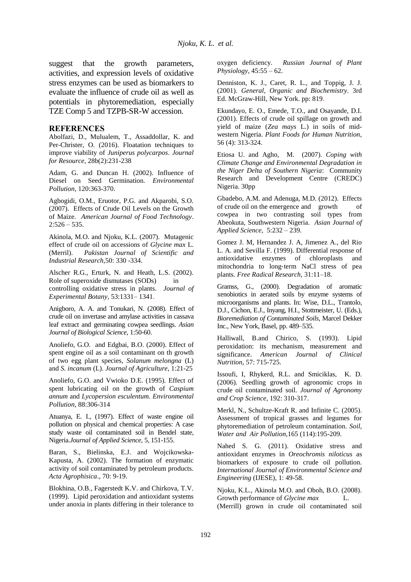suggest that the growth parameters, activities, and expression levels of oxidative stress enzymes can be used as biomarkers to evaluate the influence of crude oil as well as potentials in phytoremediation, especially TZE Comp 5 and TZPB-SR-W accession.

#### **REFERENCES**

Abolfazi, D., Mulualem, T., Assaddollar, K. and Per-Christer, O. (2016). Floatation techniques to improve viability of *Juniperus polycarpos*. *Journal for Resource*, 28b(2):231-238

Adam, G. and Duncan H. (2002). Influence of Diesel on Seed Germination. *Environmental Pollution,* 120:363-370.

Agbogidi, O.M., Eruotor, P.G. and Akparobi, S.O. (2007). Effects of Crude Oil Levels on the Growth of Maize. *American Journal of Food Technology*.  $2:526 - 535.$ 

Akinola, M.O. and Njoku, K.L. (2007). Mutagenic effect of crude oil on accessions of *Glycine max* L. (Merril). *Pakistan Journal of Scientific and Industrial Research*,50: 330 -334.

Alscher R.G., Erturk, N. and Heath, L.S. (2002). Role of superoxide dismutases (SODs) in controlling oxidative stress in plants. *Journal of Experimental Botany*, 53:1331– 1341.

Anigboro, A. A. and Tonukari, N. (2008). Effect of crude oil on invertase and amylase activities in cassava leaf extract and germinating cowpea seedlings. *Asian Journal of Biological Science*, 1:50-60.

Anoliefo, G.O. and Edgbai, B.O. (2000). Effect of spent engine oil as a soil contaminant on th growth of two egg plant species, *Solanum melongna* (L) and *S. incanum* (L). *Journal of Agriculture*, 1:21-25

Anoliefo, G.O. and Vwioko D.E. (1995). Effect of spent lubricating oil on the growth of *Caspium annum* and *Lycopersion esculentum. Environmental Pollution,* 88:306-314

Atuanya, E. I., (1997). Effect of waste engine oil pollution on physical and chemical properties: A case study waste oil contaminated soil in Bendel state, Nigeria.*Journal of Applied Science*, 5, 151-155.

Baran, S., Bielinska, E.J. and Wojcikowska-Kapusta, A. (2002). The formation of enzymatic activity of soil contaminated by petroleum products. *Acta Agrophisica*., 70: 9-19.

Blokhina, O.B., Fagerstedt K.V. and Chirkova, T.V. (1999). Lipid peroxidation and antioxidant systems under anoxia in plants differing in their tolerance to oxygen deficiency. *Russian Journal of Plant Physiology*, 45:55 – 62.

Denniston, K. J., Caret, R. L., and Toppig, J. J. (2001). *General, Organic and Biochemistry*. 3rd Ed. McGraw-Hill, New York. pp: 819.

Ekundayo, E. O., Emede, T.O., and Osayande, D.I. (2001). Effects of crude oil spillage on growth and yield of maize (*Zea mays* L.) in soils of midwestern Nigeria. *Plant Foods for Human Nutrition*, 56 (4): 313-324.

Etiosa U. and Agho, M. (2007). *Coping with Climate Change and Environmental Degradation in the Niger Delta of Southern Nigeria*: Community Research and Development Centre (CREDC) Nigeria. 30pp

Gbadebo, A.M. and Adenuga, M.D. (2012). Effects of crude oil on the emergence and growth of cowpea in two contrasting soil types from Abeokuta, Southwestern Nigeria. *Asian Journal of Applied Science*, 5:232 – 239.

Gomez J. M, Hernandez J. A, Jimenez A., del Rio L. A. and Sevilla F. (1999). Differential response of antioxidative enzymes of chloroplasts and mitochondria to long‐term NaCl stress of pea plants. *Free Radical Research,* 31:11–18.

Gramss, G., (2000). Degradation of aromatic xenobiotics in aerated soils by enzyme systems of microorganisms and plants. In: Wise, D.L., Trantolo, D.J., Cichon, E.J., Inyang, H.I., Stottmeister, U. (Eds.), *Bioremediation of Contaminated Soils*, Marcel Dekker Inc., New York, Basel, pp. 489–535.

Halliwall, B.and Chirico, S. (1993). Lipid peroxidation: its mechanism, measurement and significance. *American Journal of Clinical Nutrition*, 57: 715-725.

Issoufi, I, Rhykerd, R.L. and Smiciklas, K. D. (2006). Seedling growth of agronomic crops in crude oil contaminated soil. *Journal of Agronomy and Crop Science*, 192: 310-317.

Merkl, N., Schultze-Kraft R. and Infinite C. (2005). Assessment of tropical grasses and legumes for phytoremediation of petroleum contamination. *Soil, Water and Air Pollution,*165 (114):195-209.

Nahed S. G. (2011). Oxidative stress and antioxidant enzymes in *Oreochromis niloticus* as biomarkers of exposure to crude oil pollution. *International Journal of Environmental Science and Engineering* (IJESE), 1: 49-58.

Njoku, K.L., Akinola M.O. and Oboh, B.O. (2008). Growth performance of *Glycine max* L. (Merrill) grown in crude oil contaminated soil